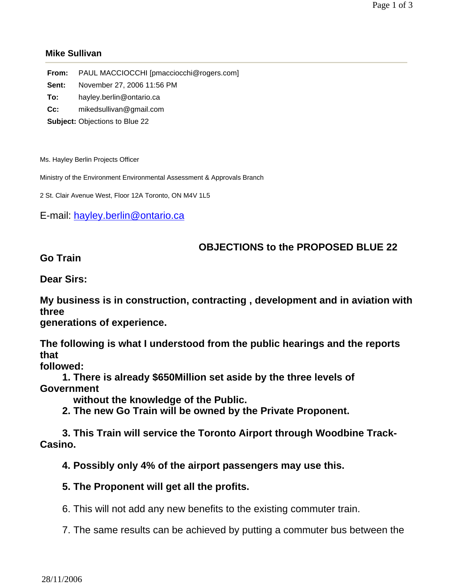## **Mike Sullivan**

| From: | PAUL MACCIOCCHI [pmacciocchi@rogers.com] |
|-------|------------------------------------------|
| Sent: | November 27, 2006 11:56 PM               |
| To:   | hayley.berlin@ontario.ca                 |
| Cc:   | mikedsullivan@gmail.com                  |
|       | <b>Subject: Objections to Blue 22</b>    |

Ms. Hayley Berlin Projects Officer

Ministry of the Environment Environmental Assessment & Approvals Branch

2 St. Clair Avenue West, Floor 12A Toronto, ON M4V 1L5

E-mail: hayley.berlin@ontario.ca

## **OBJECTIONS to the PROPOSED BLUE 22**

**Go Train** 

**Dear Sirs:**

**My business is in construction, contracting , development and in aviation with three**

**generations of experience.**

**The following is what I understood from the public hearings and the reports that**

**followed:**

 **1. There is already \$650Million set aside by the three levels of Government**

 **without the knowledge of the Public.**

 **2. The new Go Train will be owned by the Private Proponent.**

 **3. This Train will service the Toronto Airport through Woodbine Track-Casino.**

 **4. Possibly only 4% of the airport passengers may use this.**

## **5. The Proponent will get all the profits.**

6. This will not add any new benefits to the existing commuter train.

7. The same results can be achieved by putting a commuter bus between the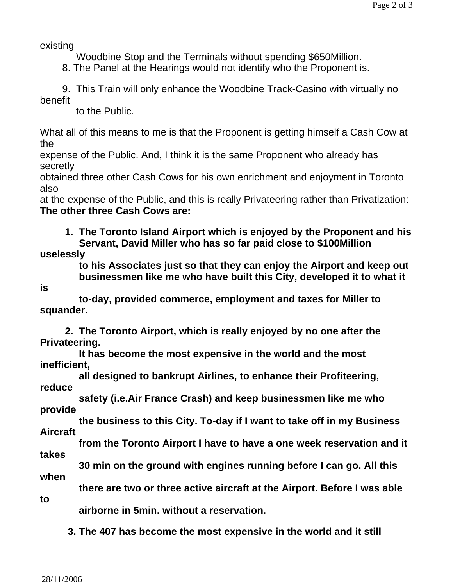existing

Woodbine Stop and the Terminals without spending \$650Million.

8. The Panel at the Hearings would not identify who the Proponent is.

 9. This Train will only enhance the Woodbine Track-Casino with virtually no benefit

to the Public.

What all of this means to me is that the Proponent is getting himself a Cash Cow at the

expense of the Public. And, I think it is the same Proponent who already has secretly

obtained three other Cash Cows for his own enrichment and enjoyment in Toronto also

at the expense of the Public, and this is really Privateering rather than Privatization: **The other three Cash Cows are:**

 **1. The Toronto Island Airport which is enjoyed by the Proponent and his Servant, David Miller who has so far paid close to \$100Million** 

**uselessly**

 **to his Associates just so that they can enjoy the Airport and keep out businessmen like me who have built this City, developed it to what it** 

**is**

 **to-day, provided commerce, employment and taxes for Miller to squander.**

 **2. The Toronto Airport, which is really enjoyed by no one after the Privateering.**

 **It has become the most expensive in the world and the most inefficient,**

 **all designed to bankrupt Airlines, to enhance their Profiteering, reduce**

 **safety (i.e.Air France Crash) and keep businessmen like me who provide**

 **the business to this City. To-day if I want to take off in my Business Aircraft**

 **from the Toronto Airport I have to have a one week reservation and it** 

**takes** 

 **30 min on the ground with engines running before I can go. All this** 

**when**

 **there are two or three active aircraft at the Airport. Before I was able** 

**to** 

 **airborne in 5min. without a reservation.**

 **3. The 407 has become the most expensive in the world and it still**